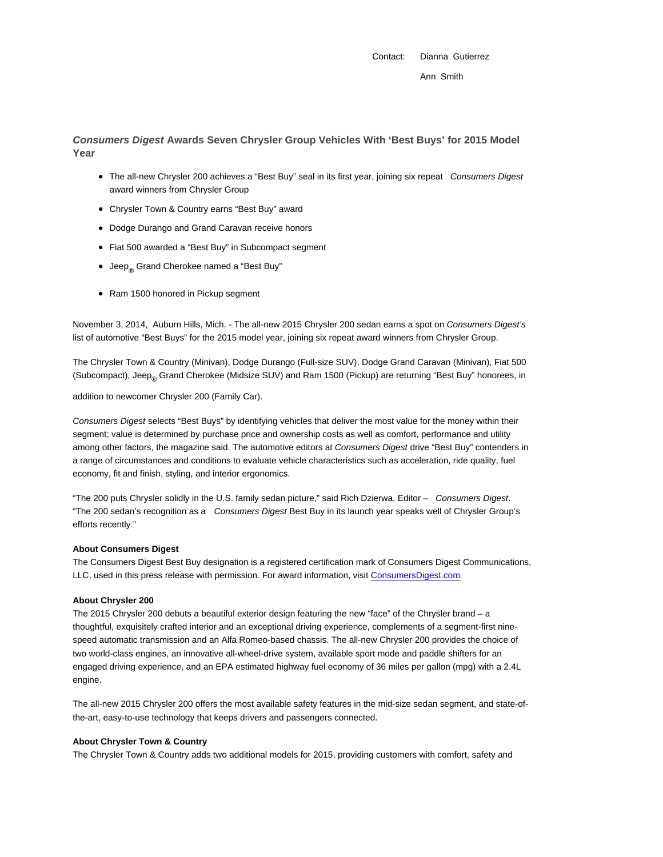Contact: Dianna Gutierrez Ann Smith

**Consumers Digest Awards Seven Chrysler Group Vehicles With 'Best Buys' for 2015 Model Year**

- The all-new Chrysler 200 achieves a "Best Buy" seal in its first year, joining six repeat Consumers Digest award winners from Chrysler Group
- Chrysler Town & Country earns "Best Buy" award
- Dodge Durango and Grand Caravan receive honors
- Fiat 500 awarded a "Best Buy" in Subcompact segment
- Jeep<sub>®</sub> Grand Cherokee named a "Best Buy"
- Ram 1500 honored in Pickup segment

November 3, 2014, Auburn Hills, Mich. - The all-new 2015 Chrysler 200 sedan earns a spot on Consumers Digest's list of automotive "Best Buys" for the 2015 model year, joining six repeat award winners from Chrysler Group.

The Chrysler Town & Country (Minivan), Dodge Durango (Full-size SUV), Dodge Grand Caravan (Minivan), Fiat 500 (Subcompact), Jeep<sub>®</sub> Grand Cherokee (Midsize SUV) and Ram 1500 (Pickup) are returning "Best Buy" honorees, in

addition to newcomer Chrysler 200 (Family Car).

Consumers Digest selects "Best Buys" by identifying vehicles that deliver the most value for the money within their segment; value is determined by purchase price and ownership costs as well as comfort, performance and utility among other factors, the magazine said. The automotive editors at Consumers Digest drive "Best Buy" contenders in a range of circumstances and conditions to evaluate vehicle characteristics such as acceleration, ride quality, fuel economy, fit and finish, styling, and interior ergonomics.

"The 200 puts Chrysler solidly in the U.S. family sedan picture," said Rich Dzierwa, Editor – Consumers Digest. "The 200 sedan's recognition as a Consumers Digest Best Buy in its launch year speaks well of Chrysler Group's efforts recently."

# **About Consumers Digest**

The Consumers Digest Best Buy designation is a registered certification mark of Consumers Digest Communications, LLC, used in this press release with permission. For award information, visit ConsumersDigest.com.

# **About Chrysler 200**

The 2015 Chrysler 200 debuts a beautiful exterior design featuring the new "face" of the Chrysler brand – a thoughtful, exquisitely crafted interior and an exceptional driving experience, complements of a segment-first ninespeed automatic transmission and an Alfa Romeo-based chassis. The all-new Chrysler 200 provides the choice of two world-class engines, an innovative all-wheel-drive system, available sport mode and paddle shifters for an engaged driving experience, and an EPA estimated highway fuel economy of 36 miles per gallon (mpg) with a 2.4L engine.

The all-new 2015 Chrysler 200 offers the most available safety features in the mid-size sedan segment, and state-ofthe-art, easy-to-use technology that keeps drivers and passengers connected.

### **About Chrysler Town & Country**

The Chrysler Town & Country adds two additional models for 2015, providing customers with comfort, safety and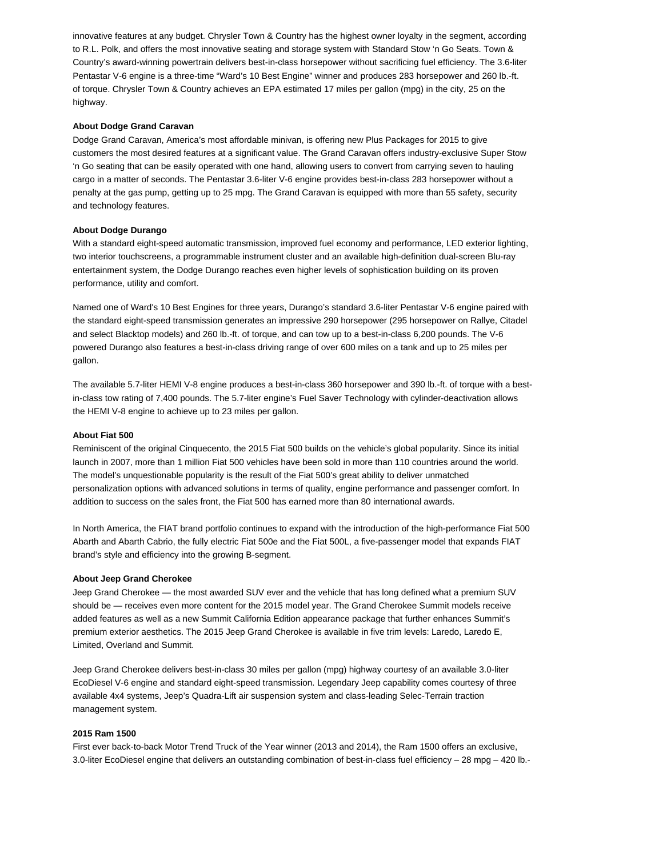innovative features at any budget. Chrysler Town & Country has the highest owner loyalty in the segment, according to R.L. Polk, and offers the most innovative seating and storage system with Standard Stow 'n Go Seats. Town & Country's award-winning powertrain delivers best-in-class horsepower without sacrificing fuel efficiency. The 3.6-liter Pentastar V-6 engine is a three-time "Ward's 10 Best Engine" winner and produces 283 horsepower and 260 lb.-ft. of torque. Chrysler Town & Country achieves an EPA estimated 17 miles per gallon (mpg) in the city, 25 on the highway.

## **About Dodge Grand Caravan**

Dodge Grand Caravan, America's most affordable minivan, is offering new Plus Packages for 2015 to give customers the most desired features at a significant value. The Grand Caravan offers industry-exclusive Super Stow 'n Go seating that can be easily operated with one hand, allowing users to convert from carrying seven to hauling cargo in a matter of seconds. The Pentastar 3.6-liter V-6 engine provides best-in-class 283 horsepower without a penalty at the gas pump, getting up to 25 mpg. The Grand Caravan is equipped with more than 55 safety, security and technology features.

### **About Dodge Durango**

With a standard eight-speed automatic transmission, improved fuel economy and performance, LED exterior lighting, two interior touchscreens, a programmable instrument cluster and an available high-definition dual-screen Blu-ray entertainment system, the Dodge Durango reaches even higher levels of sophistication building on its proven performance, utility and comfort.

Named one of Ward's 10 Best Engines for three years, Durango's standard 3.6-liter Pentastar V-6 engine paired with the standard eight-speed transmission generates an impressive 290 horsepower (295 horsepower on Rallye, Citadel and select Blacktop models) and 260 lb.-ft. of torque, and can tow up to a best-in-class 6,200 pounds. The V-6 powered Durango also features a best-in-class driving range of over 600 miles on a tank and up to 25 miles per gallon.

The available 5.7-liter HEMI V-8 engine produces a best-in-class 360 horsepower and 390 lb.-ft. of torque with a bestin-class tow rating of 7,400 pounds. The 5.7-liter engine's Fuel Saver Technology with cylinder-deactivation allows the HEMI V-8 engine to achieve up to 23 miles per gallon.

### **About Fiat 500**

Reminiscent of the original Cinquecento, the 2015 Fiat 500 builds on the vehicle's global popularity. Since its initial launch in 2007, more than 1 million Fiat 500 vehicles have been sold in more than 110 countries around the world. The model's unquestionable popularity is the result of the Fiat 500's great ability to deliver unmatched personalization options with advanced solutions in terms of quality, engine performance and passenger comfort. In addition to success on the sales front, the Fiat 500 has earned more than 80 international awards.

In North America, the FIAT brand portfolio continues to expand with the introduction of the high-performance Fiat 500 Abarth and Abarth Cabrio, the fully electric Fiat 500e and the Fiat 500L, a five-passenger model that expands FIAT brand's style and efficiency into the growing B-segment.

#### **About Jeep Grand Cherokee**

Jeep Grand Cherokee — the most awarded SUV ever and the vehicle that has long defined what a premium SUV should be — receives even more content for the 2015 model year. The Grand Cherokee Summit models receive added features as well as a new Summit California Edition appearance package that further enhances Summit's premium exterior aesthetics. The 2015 Jeep Grand Cherokee is available in five trim levels: Laredo, Laredo E, Limited, Overland and Summit.

Jeep Grand Cherokee delivers best-in-class 30 miles per gallon (mpg) highway courtesy of an available 3.0-liter EcoDiesel V-6 engine and standard eight-speed transmission. Legendary Jeep capability comes courtesy of three available 4x4 systems, Jeep's Quadra-Lift air suspension system and class-leading Selec-Terrain traction management system.

## **2015 Ram 1500**

First ever back-to-back Motor Trend Truck of the Year winner (2013 and 2014), the Ram 1500 offers an exclusive, 3.0-liter EcoDiesel engine that delivers an outstanding combination of best-in-class fuel efficiency – 28 mpg – 420 lb.-